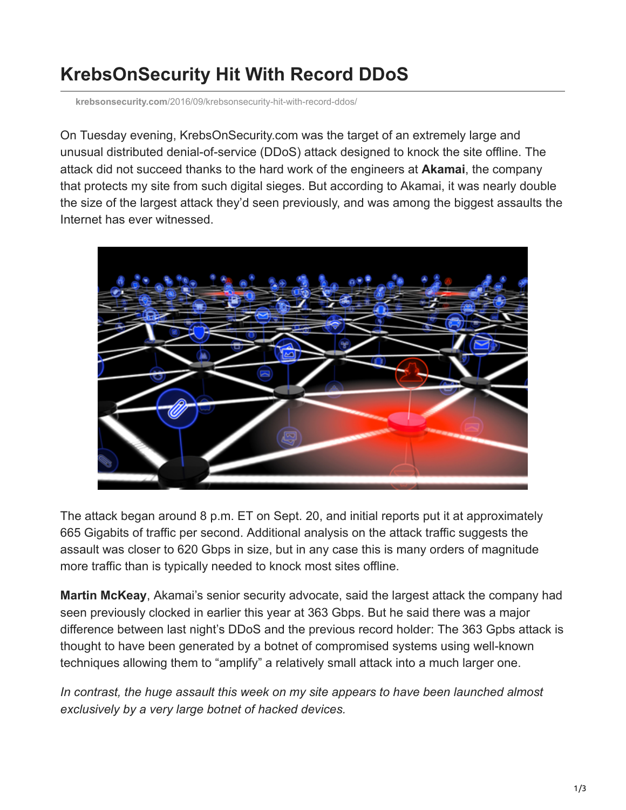## **KrebsOnSecurity Hit With Record DDoS**

**krebsonsecurity.com**[/2016/09/krebsonsecurity-hit-with-record-ddos/](https://krebsonsecurity.com/2016/09/krebsonsecurity-hit-with-record-ddos/)

On Tuesday evening, KrebsOnSecurity.com was the target of an extremely large and unusual distributed denial-of-service (DDoS) attack designed to knock the site offline. The attack did not succeed thanks to the hard work of the engineers at **Akamai**, the company that protects my site from such digital sieges. But according to Akamai, it was nearly double the size of the largest attack they'd seen previously, and was among the biggest assaults the Internet has ever witnessed.



The attack began around 8 p.m. ET on Sept. 20, and initial reports put it at approximately 665 Gigabits of traffic per second. Additional analysis on the attack traffic suggests the assault was closer to 620 Gbps in size, but in any case this is many orders of magnitude more traffic than is typically needed to knock most sites offline.

**Martin McKeay**, Akamai's senior security advocate, said the largest attack the company had seen previously clocked in earlier this year at 363 Gbps. But he said there was a major difference between last night's DDoS and the previous record holder: The 363 Gpbs attack is thought to have been generated by a botnet of compromised systems using well-known techniques allowing them to "amplify" a relatively small attack into a much larger one.

*In contrast, the huge assault this week on my site appears to have been launched almost exclusively by a very large botnet of hacked devices.*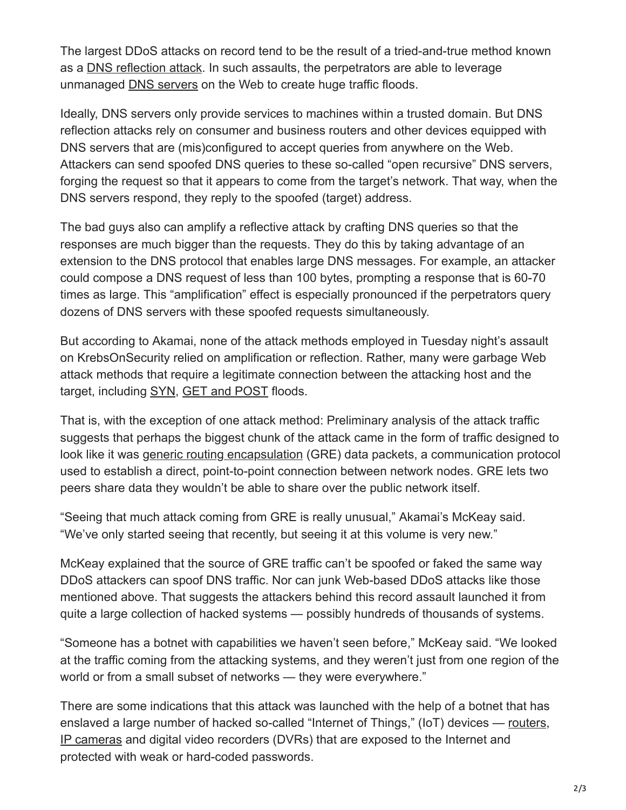The largest DDoS attacks on record tend to be the result of a tried-and-true method known as a [DNS reflection attack.](http://technet.microsoft.com/en-us/security/hh972393.aspx) In such assaults, the perpetrators are able to leverage unmanaged [DNS servers](http://compnetworking.about.com/od/dns_domainnamesystem/f/dns_servers.htm) on the Web to create huge traffic floods.

Ideally, DNS servers only provide services to machines within a trusted domain. But DNS reflection attacks rely on consumer and business routers and other devices equipped with DNS servers that are (mis)configured to accept queries from anywhere on the Web. Attackers can send spoofed DNS queries to these so-called "open recursive" DNS servers, forging the request so that it appears to come from the target's network. That way, when the DNS servers respond, they reply to the spoofed (target) address.

The bad guys also can amplify a reflective attack by crafting DNS queries so that the responses are much bigger than the requests. They do this by taking advantage of an extension to the DNS protocol that enables large DNS messages. For example, an attacker could compose a DNS request of less than 100 bytes, prompting a response that is 60-70 times as large. This "amplification" effect is especially pronounced if the perpetrators query dozens of DNS servers with these spoofed requests simultaneously.

But according to Akamai, none of the attack methods employed in Tuesday night's assault on KrebsOnSecurity relied on amplification or reflection. Rather, many were garbage Web attack methods that require a legitimate connection between the attacking host and the target, including [SYN,](https://en.wikipedia.org/wiki/SYN_flood) [GET and POST](http://security.stackexchange.com/questions/29220/what-are-http-get-post-flood-attacks) floods.

That is, with the exception of one attack method: Preliminary analysis of the attack traffic suggests that perhaps the biggest chunk of the attack came in the form of traffic designed to look like it was [generic routing encapsulation](https://www.incapsula.com/blog/what-is-gre-tunnel.html) (GRE) data packets, a communication protocol used to establish a direct, point-to-point connection between network nodes. GRE lets two peers share data they wouldn't be able to share over the public network itself.

"Seeing that much attack coming from GRE is really unusual," Akamai's McKeay said. "We've only started seeing that recently, but seeing it at this volume is very new."

McKeay explained that the source of GRE traffic can't be spoofed or faked the same way DDoS attackers can spoof DNS traffic. Nor can junk Web-based DDoS attacks like those mentioned above. That suggests the attackers behind this record assault launched it from quite a large collection of hacked systems — possibly hundreds of thousands of systems.

"Someone has a botnet with capabilities we haven't seen before," McKeay said. "We looked at the traffic coming from the attacking systems, and they weren't just from one region of the world or from a small subset of networks — they were everywhere."

There are some indications that this attack was launched with the help of a botnet that has enslaved a large number of hacked so-called "Internet of Things," (IoT) devices — [routers,](http://krebsonsecurity.com/2015/01/lizard-stresser-runs-on-hacked-home-routers/) [IP cameras](http://krebsonsecurity.com/2016/02/this-is-why-people-fear-the-internet-of-things/) and digital video recorders (DVRs) that are exposed to the Internet and protected with weak or hard-coded passwords.